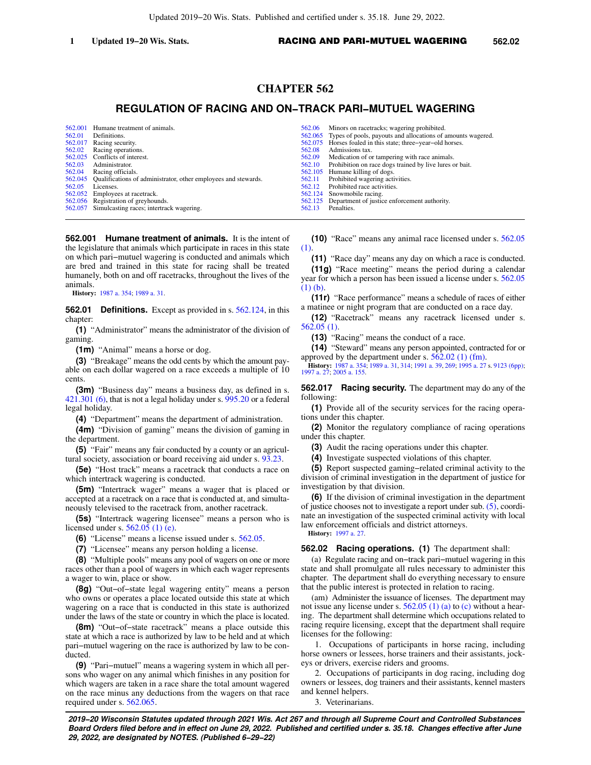# **CHAPTER 562**

# **REGULATION OF RACING AND ON−TRACK PARI−MUTUEL WAGERING**

[562.001](https://docs.legis.wisconsin.gov/document/statutes/562.001) Humane treatment of animals.<br>562.01 Definitions. Definitions. [562.017](https://docs.legis.wisconsin.gov/document/statutes/562.017) Racing security.<br>562.02 Racing operation Racing operations. [562.025](https://docs.legis.wisconsin.gov/document/statutes/562.025) Conflicts of interest.<br>562.03 Administrator [562.03](https://docs.legis.wisconsin.gov/document/statutes/562.03) Administrator.<br>562.04 Racing official Racing officials. [562.045](https://docs.legis.wisconsin.gov/document/statutes/562.045) Qualifications of administrator, other employees and stewards.<br>562.05 Licenses. Licenses. [562.052](https://docs.legis.wisconsin.gov/document/statutes/562.052) Employees at racetrack. [562.056](https://docs.legis.wisconsin.gov/document/statutes/562.056) Registration of greyhounds. [562.057](https://docs.legis.wisconsin.gov/document/statutes/562.057) Simulcasting races; intertrack wagering.

**562.001 Humane treatment of animals.** It is the intent of the legislature that animals which participate in races in this state on which pari−mutuel wagering is conducted and animals which are bred and trained in this state for racing shall be treated humanely, both on and off racetracks, throughout the lives of the animals.

**History:** [1987 a. 354](https://docs.legis.wisconsin.gov/document/acts/1987/354); [1989 a. 31.](https://docs.legis.wisconsin.gov/document/acts/1989/31)

**562.01 Definitions.** Except as provided in s. [562.124,](https://docs.legis.wisconsin.gov/document/statutes/562.124) in this chapter:

**(1)** "Administrator" means the administrator of the division of gaming.

**(1m)** "Animal" means a horse or dog.

**(3)** "Breakage" means the odd cents by which the amount payable on each dollar wagered on a race exceeds a multiple of 10 cents.

**(3m)** "Business day" means a business day, as defined in s. [421.301 \(6\)](https://docs.legis.wisconsin.gov/document/statutes/421.301(6)), that is not a legal holiday under s. [995.20](https://docs.legis.wisconsin.gov/document/statutes/995.20) or a federal legal holiday.

**(4)** "Department" means the department of administration.

**(4m)** "Division of gaming" means the division of gaming in the department.

**(5)** "Fair" means any fair conducted by a county or an agricultural society, association or board receiving aid under s. [93.23.](https://docs.legis.wisconsin.gov/document/statutes/93.23)

**(5e)** "Host track" means a racetrack that conducts a race on which intertrack wagering is conducted.

**(5m)** "Intertrack wager" means a wager that is placed or accepted at a racetrack on a race that is conducted at, and simultaneously televised to the racetrack from, another racetrack.

**(5s)** "Intertrack wagering licensee" means a person who is licensed under s. [562.05 \(1\) \(e\).](https://docs.legis.wisconsin.gov/document/statutes/562.05(1)(e))

**(6)** "License" means a license issued under s. [562.05](https://docs.legis.wisconsin.gov/document/statutes/562.05).

**(7)** "Licensee" means any person holding a license.

**(8)** "Multiple pools" means any pool of wagers on one or more races other than a pool of wagers in which each wager represents a wager to win, place or show.

**(8g)** "Out−of−state legal wagering entity" means a person who owns or operates a place located outside this state at which wagering on a race that is conducted in this state is authorized under the laws of the state or country in which the place is located.

**(8m)** "Out−of−state racetrack" means a place outside this state at which a race is authorized by law to be held and at which pari−mutuel wagering on the race is authorized by law to be conducted.

**(9)** "Pari−mutuel" means a wagering system in which all persons who wager on any animal which finishes in any position for which wagers are taken in a race share the total amount wagered on the race minus any deductions from the wagers on that race required under s. [562.065.](https://docs.legis.wisconsin.gov/document/statutes/562.065)

[562.06](https://docs.legis.wisconsin.gov/document/statutes/562.06) Minors on racetracks; wagering prohibited.<br>562.065 Types of pools, payouts and allocations of a [562.065](https://docs.legis.wisconsin.gov/document/statutes/562.065) Types of pools, payouts and allocations of amounts wagered.<br>562.075 Horses foaled in this state: three-vear-old horses. [562.075](https://docs.legis.wisconsin.gov/document/statutes/562.075) Horses foaled in this state; three−year−old horses. [562.08](https://docs.legis.wisconsin.gov/document/statutes/562.08) Admissions tax.<br>562.09 Medication of o [562.09](https://docs.legis.wisconsin.gov/document/statutes/562.09) Medication of or tampering with race animals.<br>562.10 Probibition on race does trained by live lures of Prohibition on race dogs trained by live lures or bait. [562.105](https://docs.legis.wisconsin.gov/document/statutes/562.105) Humane killing of dogs.<br>562.11 Prohibited wagering act [562.11](https://docs.legis.wisconsin.gov/document/statutes/562.11) Prohibited wagering activities.<br>562.12 Prohibited race activities. Prohibited race activities. [562.124](https://docs.legis.wisconsin.gov/document/statutes/562.124) Snowmobile racing. [562.125](https://docs.legis.wisconsin.gov/document/statutes/562.125) Department of justice enforcement authority. [562.13](https://docs.legis.wisconsin.gov/document/statutes/562.13) Penalties.

**(10)** "Race" means any animal race licensed under s. [562.05](https://docs.legis.wisconsin.gov/document/statutes/562.05(1)) [\(1\).](https://docs.legis.wisconsin.gov/document/statutes/562.05(1))

**(11)** "Race day" means any day on which a race is conducted.

**(11g)** "Race meeting" means the period during a calendar year for which a person has been issued a license under s. [562.05](https://docs.legis.wisconsin.gov/document/statutes/562.05(1)(b)) [\(1\) \(b\)](https://docs.legis.wisconsin.gov/document/statutes/562.05(1)(b)).

**(11r)** "Race performance" means a schedule of races of either a matinee or night program that are conducted on a race day.

**(12)** "Racetrack" means any racetrack licensed under s. [562.05 \(1\).](https://docs.legis.wisconsin.gov/document/statutes/562.05(1))

**(13)** "Racing" means the conduct of a race.

**(14)** "Steward" means any person appointed, contracted for or approved by the department under s.  $562.02$  (1) (fm).

**History:** [1987 a. 354](https://docs.legis.wisconsin.gov/document/acts/1987/354); [1989 a. 31,](https://docs.legis.wisconsin.gov/document/acts/1989/31) [314;](https://docs.legis.wisconsin.gov/document/acts/1989/314) [1991 a. 39,](https://docs.legis.wisconsin.gov/document/acts/1991/39) [269;](https://docs.legis.wisconsin.gov/document/acts/1991/269) [1995 a. 27](https://docs.legis.wisconsin.gov/document/acts/1995/27) s. [9123 \(6pp\)](https://docs.legis.wisconsin.gov/document/acts/1995/27,%20s.%209123); [1997 a. 27](https://docs.legis.wisconsin.gov/document/acts/1997/27); [2005 a. 155](https://docs.legis.wisconsin.gov/document/acts/2005/155).

**562.017 Racing security.** The department may do any of the following:

**(1)** Provide all of the security services for the racing operations under this chapter.

**(2)** Monitor the regulatory compliance of racing operations under this chapter.

**(3)** Audit the racing operations under this chapter.

**(4)** Investigate suspected violations of this chapter.

**(5)** Report suspected gaming−related criminal activity to the division of criminal investigation in the department of justice for investigation by that division.

**(6)** If the division of criminal investigation in the department of justice chooses not to investigate a report under sub. [\(5\),](https://docs.legis.wisconsin.gov/document/statutes/562.017(5)) coordinate an investigation of the suspected criminal activity with local law enforcement officials and district attorneys.

**History:** [1997 a. 27](https://docs.legis.wisconsin.gov/document/acts/1997/27).

**562.02 Racing operations. (1)** The department shall:

(a) Regulate racing and on−track pari−mutuel wagering in this state and shall promulgate all rules necessary to administer this chapter. The department shall do everything necessary to ensure that the public interest is protected in relation to racing.

(am) Administer the issuance of licenses. The department may not issue any license under s. [562.05 \(1\) \(a\)](https://docs.legis.wisconsin.gov/document/statutes/562.05(1)(a)) to [\(c\)](https://docs.legis.wisconsin.gov/document/statutes/562.05(1)(c)) without a hearing. The department shall determine which occupations related to racing require licensing, except that the department shall require licenses for the following:

1. Occupations of participants in horse racing, including horse owners or lessees, horse trainers and their assistants, jockeys or drivers, exercise riders and grooms.

2. Occupations of participants in dog racing, including dog owners or lessees, dog trainers and their assistants, kennel masters and kennel helpers.

3. Veterinarians.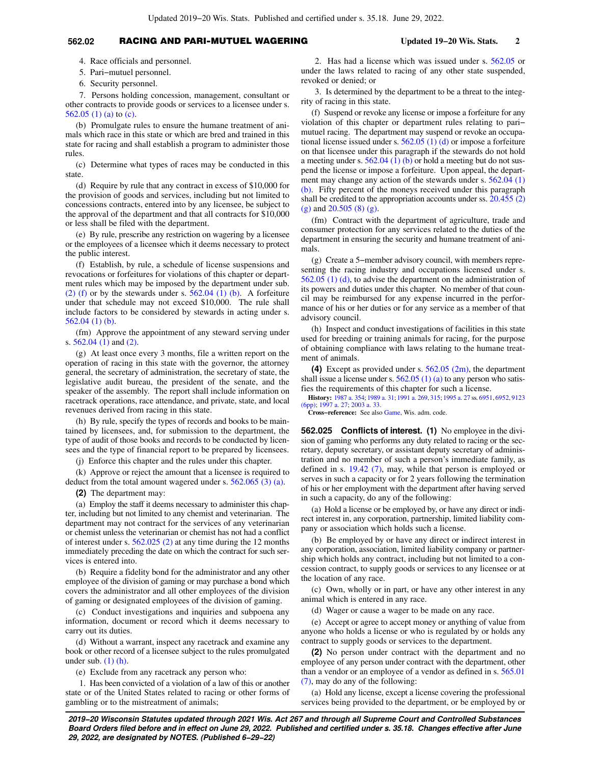# **562.02** RACING AND PARI-MUTUEL WAGERING **Updated 19−20 Wis. Stats. 2**

4. Race officials and personnel.

5. Pari−mutuel personnel.

6. Security personnel.

7. Persons holding concession, management, consultant or other contracts to provide goods or services to a licensee under s. [562.05 \(1\) \(a\)](https://docs.legis.wisconsin.gov/document/statutes/562.05(1)(a)) to [\(c\)](https://docs.legis.wisconsin.gov/document/statutes/562.05(1)(c)).

(b) Promulgate rules to ensure the humane treatment of animals which race in this state or which are bred and trained in this state for racing and shall establish a program to administer those rules.

(c) Determine what types of races may be conducted in this state.

(d) Require by rule that any contract in excess of \$10,000 for the provision of goods and services, including but not limited to concessions contracts, entered into by any licensee, be subject to the approval of the department and that all contracts for \$10,000 or less shall be filed with the department.

(e) By rule, prescribe any restriction on wagering by a licensee or the employees of a licensee which it deems necessary to protect the public interest.

(f) Establish, by rule, a schedule of license suspensions and revocations or forfeitures for violations of this chapter or department rules which may be imposed by the department under sub. [\(2\) \(f\)](https://docs.legis.wisconsin.gov/document/statutes/562.02(2)(f)) or by the stewards under s.  $562.04$  (1) (b). A forfeiture under that schedule may not exceed \$10,000. The rule shall include factors to be considered by stewards in acting under s. [562.04 \(1\) \(b\)](https://docs.legis.wisconsin.gov/document/statutes/562.04(1)(b)).

(fm) Approve the appointment of any steward serving under s. [562.04 \(1\)](https://docs.legis.wisconsin.gov/document/statutes/562.04(1)) and [\(2\).](https://docs.legis.wisconsin.gov/document/statutes/562.04(2))

(g) At least once every 3 months, file a written report on the operation of racing in this state with the governor, the attorney general, the secretary of administration, the secretary of state, the legislative audit bureau, the president of the senate, and the speaker of the assembly. The report shall include information on racetrack operations, race attendance, and private, state, and local revenues derived from racing in this state.

(h) By rule, specify the types of records and books to be maintained by licensees, and, for submission to the department, the type of audit of those books and records to be conducted by licensees and the type of financial report to be prepared by licensees.

(j) Enforce this chapter and the rules under this chapter.

(k) Approve or reject the amount that a licensee is required to deduct from the total amount wagered under s. [562.065 \(3\) \(a\).](https://docs.legis.wisconsin.gov/document/statutes/562.065(3)(a))

**(2)** The department may:

(a) Employ the staff it deems necessary to administer this chapter, including but not limited to any chemist and veterinarian. The department may not contract for the services of any veterinarian or chemist unless the veterinarian or chemist has not had a conflict of interest under s. [562.025 \(2\)](https://docs.legis.wisconsin.gov/document/statutes/562.025(2)) at any time during the 12 months immediately preceding the date on which the contract for such services is entered into.

(b) Require a fidelity bond for the administrator and any other employee of the division of gaming or may purchase a bond which covers the administrator and all other employees of the division of gaming or designated employees of the division of gaming.

(c) Conduct investigations and inquiries and subpoena any information, document or record which it deems necessary to carry out its duties.

(d) Without a warrant, inspect any racetrack and examine any book or other record of a licensee subject to the rules promulgated under sub. [\(1\) \(h\)](https://docs.legis.wisconsin.gov/document/statutes/562.02(1)(h)).

(e) Exclude from any racetrack any person who:

1. Has been convicted of a violation of a law of this or another state or of the United States related to racing or other forms of gambling or to the mistreatment of animals;

2. Has had a license which was issued under s. [562.05](https://docs.legis.wisconsin.gov/document/statutes/562.05) or under the laws related to racing of any other state suspended, revoked or denied; or

3. Is determined by the department to be a threat to the integrity of racing in this state.

(f) Suspend or revoke any license or impose a forfeiture for any violation of this chapter or department rules relating to pari− mutuel racing. The department may suspend or revoke an occupational license issued under s.  $562.05$  (1) (d) or impose a forfeiture on that licensee under this paragraph if the stewards do not hold a meeting under s. [562.04 \(1\) \(b\)](https://docs.legis.wisconsin.gov/document/statutes/562.04(1)(b)) or hold a meeting but do not suspend the license or impose a forfeiture. Upon appeal, the depart-ment may change any action of the stewards under s. [562.04 \(1\)](https://docs.legis.wisconsin.gov/document/statutes/562.04(1)(b)) [\(b\).](https://docs.legis.wisconsin.gov/document/statutes/562.04(1)(b)) Fifty percent of the moneys received under this paragraph shall be credited to the appropriation accounts under ss. [20.455 \(2\)](https://docs.legis.wisconsin.gov/document/statutes/20.455(2)(g)) [\(g\)](https://docs.legis.wisconsin.gov/document/statutes/20.455(2)(g)) and [20.505 \(8\) \(g\).](https://docs.legis.wisconsin.gov/document/statutes/20.505(8)(g))

(fm) Contract with the department of agriculture, trade and consumer protection for any services related to the duties of the department in ensuring the security and humane treatment of animals.

(g) Create a 5−member advisory council, with members representing the racing industry and occupations licensed under s. [562.05 \(1\) \(d\)](https://docs.legis.wisconsin.gov/document/statutes/562.05(1)(d)), to advise the department on the administration of its powers and duties under this chapter. No member of that council may be reimbursed for any expense incurred in the performance of his or her duties or for any service as a member of that advisory council.

(h) Inspect and conduct investigations of facilities in this state used for breeding or training animals for racing, for the purpose of obtaining compliance with laws relating to the humane treatment of animals.

**(4)** Except as provided under s. [562.05 \(2m\),](https://docs.legis.wisconsin.gov/document/statutes/562.05(2m)) the department shall issue a license under s.  $562.05(1)(a)$  to any person who satisfies the requirements of this chapter for such a license.

**History:** [1987 a. 354;](https://docs.legis.wisconsin.gov/document/acts/1987/354) [1989 a. 31;](https://docs.legis.wisconsin.gov/document/acts/1989/31) [1991 a. 269](https://docs.legis.wisconsin.gov/document/acts/1991/269), [315](https://docs.legis.wisconsin.gov/document/acts/1991/315); [1995 a. 27](https://docs.legis.wisconsin.gov/document/acts/1995/27) ss. [6951,](https://docs.legis.wisconsin.gov/document/acts/1995/27,%20s.%206951) [6952](https://docs.legis.wisconsin.gov/document/acts/1995/27,%20s.%206952), [9123](https://docs.legis.wisconsin.gov/document/acts/1995/27,%20s.%209123) [\(6pp\)](https://docs.legis.wisconsin.gov/document/acts/1995/27,%20s.%209123); [1997 a. 27](https://docs.legis.wisconsin.gov/document/acts/1997/27); [2003 a. 33.](https://docs.legis.wisconsin.gov/document/acts/2003/33)

**Cross−reference:** See also [Game,](https://docs.legis.wisconsin.gov/document/administrativecode/Game) Wis. adm. code.

**562.025 Conflicts of interest. (1)** No employee in the division of gaming who performs any duty related to racing or the secretary, deputy secretary, or assistant deputy secretary of administration and no member of such a person's immediate family, as defined in s. [19.42 \(7\),](https://docs.legis.wisconsin.gov/document/statutes/19.42(7)) may, while that person is employed or serves in such a capacity or for 2 years following the termination of his or her employment with the department after having served in such a capacity, do any of the following:

(a) Hold a license or be employed by, or have any direct or indirect interest in, any corporation, partnership, limited liability company or association which holds such a license.

(b) Be employed by or have any direct or indirect interest in any corporation, association, limited liability company or partnership which holds any contract, including but not limited to a concession contract, to supply goods or services to any licensee or at the location of any race.

(c) Own, wholly or in part, or have any other interest in any animal which is entered in any race.

(d) Wager or cause a wager to be made on any race.

(e) Accept or agree to accept money or anything of value from anyone who holds a license or who is regulated by or holds any contract to supply goods or services to the department.

**(2)** No person under contract with the department and no employee of any person under contract with the department, other than a vendor or an employee of a vendor as defined in s. [565.01](https://docs.legis.wisconsin.gov/document/statutes/565.01(7)) [\(7\),](https://docs.legis.wisconsin.gov/document/statutes/565.01(7)) may do any of the following:

(a) Hold any license, except a license covering the professional services being provided to the department, or be employed by or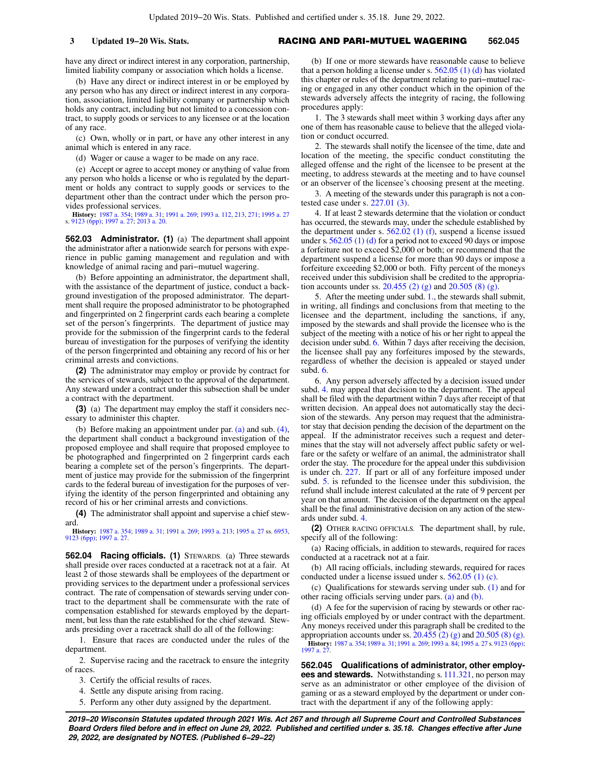have any direct or indirect interest in any corporation, partnership, limited liability company or association which holds a license.

(b) Have any direct or indirect interest in or be employed by any person who has any direct or indirect interest in any corporation, association, limited liability company or partnership which holds any contract, including but not limited to a concession contract, to supply goods or services to any licensee or at the location of any race.

(c) Own, wholly or in part, or have any other interest in any animal which is entered in any race.

(d) Wager or cause a wager to be made on any race.

(e) Accept or agree to accept money or anything of value from any person who holds a license or who is regulated by the department or holds any contract to supply goods or services to the department other than the contract under which the person provides professional services.

**History:** [1987 a. 354](https://docs.legis.wisconsin.gov/document/acts/1987/354); [1989 a. 31;](https://docs.legis.wisconsin.gov/document/acts/1989/31) [1991 a. 269;](https://docs.legis.wisconsin.gov/document/acts/1991/269) [1993 a. 112,](https://docs.legis.wisconsin.gov/document/acts/1993/112) [213,](https://docs.legis.wisconsin.gov/document/acts/1993/213) [271](https://docs.legis.wisconsin.gov/document/acts/1993/271); [1995 a. 27](https://docs.legis.wisconsin.gov/document/acts/1995/27) s. [9123 \(6pp\);](https://docs.legis.wisconsin.gov/document/acts/1995/27,%20s.%209123) [1997 a. 27](https://docs.legis.wisconsin.gov/document/acts/1997/27); [2013 a. 20](https://docs.legis.wisconsin.gov/document/acts/2013/20).

**562.03 Administrator. (1)** (a) The department shall appoint the administrator after a nationwide search for persons with experience in public gaming management and regulation and with knowledge of animal racing and pari−mutuel wagering.

(b) Before appointing an administrator, the department shall, with the assistance of the department of justice, conduct a background investigation of the proposed administrator. The department shall require the proposed administrator to be photographed and fingerprinted on 2 fingerprint cards each bearing a complete set of the person's fingerprints. The department of justice may provide for the submission of the fingerprint cards to the federal bureau of investigation for the purposes of verifying the identity of the person fingerprinted and obtaining any record of his or her criminal arrests and convictions.

**(2)** The administrator may employ or provide by contract for the services of stewards, subject to the approval of the department. Any steward under a contract under this subsection shall be under a contract with the department.

**(3)** (a) The department may employ the staff it considers necessary to administer this chapter.

(b) Before making an appointment under par. [\(a\)](https://docs.legis.wisconsin.gov/document/statutes/562.03(3)(a)) and sub. [\(4\),](https://docs.legis.wisconsin.gov/document/statutes/562.03(4)) the department shall conduct a background investigation of the proposed employee and shall require that proposed employee to be photographed and fingerprinted on 2 fingerprint cards each bearing a complete set of the person's fingerprints. The department of justice may provide for the submission of the fingerprint cards to the federal bureau of investigation for the purposes of verifying the identity of the person fingerprinted and obtaining any record of his or her criminal arrests and convictions.

**(4)** The administrator shall appoint and supervise a chief steward.

**History:** [1987 a. 354;](https://docs.legis.wisconsin.gov/document/acts/1987/354) [1989 a. 31;](https://docs.legis.wisconsin.gov/document/acts/1989/31) [1991 a. 269;](https://docs.legis.wisconsin.gov/document/acts/1991/269) [1993 a. 213](https://docs.legis.wisconsin.gov/document/acts/1993/213); [1995 a. 27](https://docs.legis.wisconsin.gov/document/acts/1995/27) ss. [6953](https://docs.legis.wisconsin.gov/document/acts/1995/27,%20s.%206953), [9123 \(6pp\);](https://docs.legis.wisconsin.gov/document/acts/1995/27,%20s.%209123) [1997 a. 27.](https://docs.legis.wisconsin.gov/document/acts/1997/27)

**562.04 Racing officials. (1)** STEWARDS. (a) Three stewards shall preside over races conducted at a racetrack not at a fair. At least 2 of those stewards shall be employees of the department or providing services to the department under a professional services contract. The rate of compensation of stewards serving under contract to the department shall be commensurate with the rate of compensation established for stewards employed by the department, but less than the rate established for the chief steward. Stewards presiding over a racetrack shall do all of the following:

1. Ensure that races are conducted under the rules of the department.

2. Supervise racing and the racetrack to ensure the integrity of races.

- 3. Certify the official results of races.
- 4. Settle any dispute arising from racing.
- 5. Perform any other duty assigned by the department.

(b) If one or more stewards have reasonable cause to believe that a person holding a license under s.  $562.05(1)(d)$  has violated this chapter or rules of the department relating to pari−mutuel racing or engaged in any other conduct which in the opinion of the stewards adversely affects the integrity of racing, the following procedures apply:

1. The 3 stewards shall meet within 3 working days after any one of them has reasonable cause to believe that the alleged violation or conduct occurred.

2. The stewards shall notify the licensee of the time, date and location of the meeting, the specific conduct constituting the alleged offense and the right of the licensee to be present at the meeting, to address stewards at the meeting and to have counsel or an observer of the licensee's choosing present at the meeting.

3. A meeting of the stewards under this paragraph is not a contested case under s. [227.01 \(3\).](https://docs.legis.wisconsin.gov/document/statutes/227.01(3))

4. If at least 2 stewards determine that the violation or conduct has occurred, the stewards may, under the schedule established by the department under s. [562.02 \(1\) \(f\)](https://docs.legis.wisconsin.gov/document/statutes/562.02(1)(f)), suspend a license issued under s. [562.05 \(1\) \(d\)](https://docs.legis.wisconsin.gov/document/statutes/562.05(1)(d)) for a period not to exceed 90 days or impose a forfeiture not to exceed \$2,000 or both; or recommend that the department suspend a license for more than 90 days or impose a forfeiture exceeding \$2,000 or both. Fifty percent of the moneys received under this subdivision shall be credited to the appropriation accounts under ss. [20.455 \(2\) \(g\)](https://docs.legis.wisconsin.gov/document/statutes/20.455(2)(g)) and [20.505 \(8\) \(g\).](https://docs.legis.wisconsin.gov/document/statutes/20.505(8)(g))

5. After the meeting under subd. [1.,](https://docs.legis.wisconsin.gov/document/statutes/562.04(1)(b)1.) the stewards shall submit, in writing, all findings and conclusions from that meeting to the licensee and the department, including the sanctions, if any, imposed by the stewards and shall provide the licensee who is the subject of the meeting with a notice of his or her right to appeal the decision under subd. [6.](https://docs.legis.wisconsin.gov/document/statutes/562.04(1)(b)6.) Within 7 days after receiving the decision, the licensee shall pay any forfeitures imposed by the stewards, regardless of whether the decision is appealed or stayed under subd. [6.](https://docs.legis.wisconsin.gov/document/statutes/562.04(1)(b)6.)

6. Any person adversely affected by a decision issued under subd. [4.](https://docs.legis.wisconsin.gov/document/statutes/562.04(1)(b)4.) may appeal that decision to the department. The appeal shall be filed with the department within 7 days after receipt of that written decision. An appeal does not automatically stay the decision of the stewards. Any person may request that the administrator stay that decision pending the decision of the department on the appeal. If the administrator receives such a request and determines that the stay will not adversely affect public safety or welfare or the safety or welfare of an animal, the administrator shall order the stay. The procedure for the appeal under this subdivision is under ch. [227](https://docs.legis.wisconsin.gov/document/statutes/ch.%20227). If part or all of any forfeiture imposed under subd. [5.](https://docs.legis.wisconsin.gov/document/statutes/562.04(1)(b)5.) is refunded to the licensee under this subdivision, the refund shall include interest calculated at the rate of 9 percent per year on that amount. The decision of the department on the appeal shall be the final administrative decision on any action of the stewards under subd. [4.](https://docs.legis.wisconsin.gov/document/statutes/562.04(1)(b)4.)

**(2)** OTHER RACING OFFICIALS. The department shall, by rule, specify all of the following:

(a) Racing officials, in addition to stewards, required for races conducted at a racetrack not at a fair.

(b) All racing officials, including stewards, required for races conducted under a license issued under s. [562.05 \(1\) \(c\).](https://docs.legis.wisconsin.gov/document/statutes/562.05(1)(c))

(c) Qualifications for stewards serving under sub. [\(1\)](https://docs.legis.wisconsin.gov/document/statutes/562.04(1)) and for other racing officials serving under pars. [\(a\)](https://docs.legis.wisconsin.gov/document/statutes/562.04(2)(a)) and [\(b\)](https://docs.legis.wisconsin.gov/document/statutes/562.04(2)(b)).

(d) A fee for the supervision of racing by stewards or other racing officials employed by or under contract with the department. Any moneys received under this paragraph shall be credited to the appropriation accounts under ss.  $20.455(2)(g)$  and  $20.505(8)(g)$ . **History:** [1987 a. 354;](https://docs.legis.wisconsin.gov/document/acts/1987/354) [1989 a. 31;](https://docs.legis.wisconsin.gov/document/acts/1989/31) [1991 a. 269](https://docs.legis.wisconsin.gov/document/acts/1991/269); [1993 a. 84](https://docs.legis.wisconsin.gov/document/acts/1993/84); [1995 a. 27](https://docs.legis.wisconsin.gov/document/acts/1995/27) s. [9123 \(6pp\)](https://docs.legis.wisconsin.gov/document/acts/1995/27,%20s.%209123); [1997 a. 27](https://docs.legis.wisconsin.gov/document/acts/1997/27).

**562.045 Qualifications of administrator, other employees and stewards.** Notwithstanding s. [111.321,](https://docs.legis.wisconsin.gov/document/statutes/111.321) no person may serve as an administrator or other employee of the division of gaming or as a steward employed by the department or under contract with the department if any of the following apply: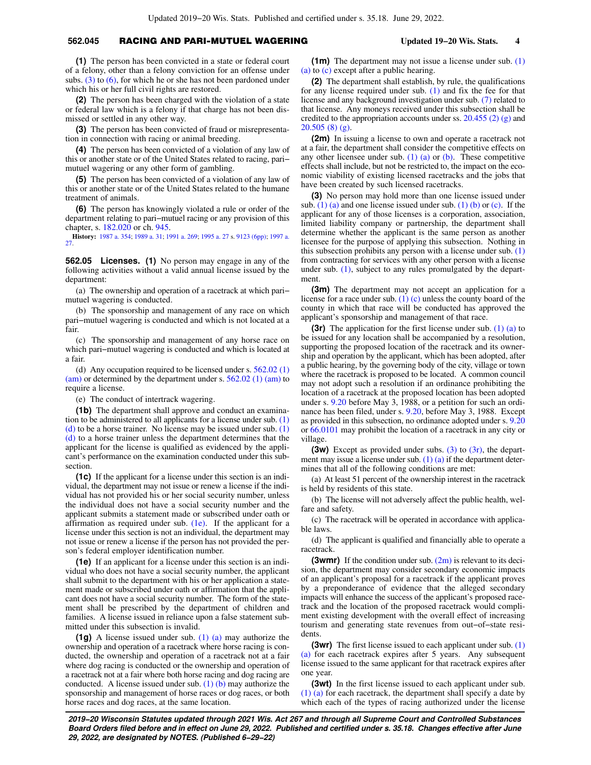# **562.045** RACING AND PARI-MUTUEL WAGERING **Updated 19−20 Wis. Stats. 4**

**(1)** The person has been convicted in a state or federal court of a felony, other than a felony conviction for an offense under subs.  $(3)$  to  $(6)$ , for which he or she has not been pardoned under which his or her full civil rights are restored.

**(2)** The person has been charged with the violation of a state or federal law which is a felony if that charge has not been dismissed or settled in any other way.

**(3)** The person has been convicted of fraud or misrepresentation in connection with racing or animal breeding.

**(4)** The person has been convicted of a violation of any law of this or another state or of the United States related to racing, pari− mutuel wagering or any other form of gambling.

**(5)** The person has been convicted of a violation of any law of this or another state or of the United States related to the humane treatment of animals.

**(6)** The person has knowingly violated a rule or order of the department relating to pari−mutuel racing or any provision of this chapter, s. [182.020](https://docs.legis.wisconsin.gov/document/statutes/182.020) or ch. [945.](https://docs.legis.wisconsin.gov/document/statutes/ch.%20945)

**History:** [1987 a. 354;](https://docs.legis.wisconsin.gov/document/acts/1987/354) [1989 a. 31](https://docs.legis.wisconsin.gov/document/acts/1989/31); [1991 a. 269;](https://docs.legis.wisconsin.gov/document/acts/1991/269) [1995 a. 27](https://docs.legis.wisconsin.gov/document/acts/1995/27) s. [9123 \(6pp\);](https://docs.legis.wisconsin.gov/document/acts/1995/27,%20s.%209123) [1997 a.](https://docs.legis.wisconsin.gov/document/acts/1997/27) [27.](https://docs.legis.wisconsin.gov/document/acts/1997/27)

**562.05 Licenses. (1)** No person may engage in any of the following activities without a valid annual license issued by the department:

(a) The ownership and operation of a racetrack at which pari− mutuel wagering is conducted.

(b) The sponsorship and management of any race on which pari−mutuel wagering is conducted and which is not located at a fair.

(c) The sponsorship and management of any horse race on which pari−mutuel wagering is conducted and which is located at a fair.

(d) Any occupation required to be licensed under s. [562.02 \(1\)](https://docs.legis.wisconsin.gov/document/statutes/562.02(1)(am)) [\(am\)](https://docs.legis.wisconsin.gov/document/statutes/562.02(1)(am)) or determined by the department under s. [562.02 \(1\) \(am\)](https://docs.legis.wisconsin.gov/document/statutes/562.02(1)(am)) to require a license.

(e) The conduct of intertrack wagering.

**(1b)** The department shall approve and conduct an examination to be administered to all applicants for a license under sub.  $(1)$  $(d)$  to be a horse trainer. No license may be issued under sub.  $(1)$ [\(d\)](https://docs.legis.wisconsin.gov/document/statutes/562.05(1)(d)) to a horse trainer unless the department determines that the applicant for the license is qualified as evidenced by the applicant's performance on the examination conducted under this subsection.

**(1c)** If the applicant for a license under this section is an individual, the department may not issue or renew a license if the individual has not provided his or her social security number, unless the individual does not have a social security number and the applicant submits a statement made or subscribed under oath or affirmation as required under sub.  $(1e)$ . If the applicant for a license under this section is not an individual, the department may not issue or renew a license if the person has not provided the person's federal employer identification number.

**(1e)** If an applicant for a license under this section is an individual who does not have a social security number, the applicant shall submit to the department with his or her application a statement made or subscribed under oath or affirmation that the applicant does not have a social security number. The form of the statement shall be prescribed by the department of children and families. A license issued in reliance upon a false statement submitted under this subsection is invalid.

**(1g)** A license issued under sub. [\(1\) \(a\)](https://docs.legis.wisconsin.gov/document/statutes/562.05(1)(a)) may authorize the ownership and operation of a racetrack where horse racing is conducted, the ownership and operation of a racetrack not at a fair where dog racing is conducted or the ownership and operation of a racetrack not at a fair where both horse racing and dog racing are conducted. A license issued under sub.  $(1)$  (b) may authorize the sponsorship and management of horse races or dog races, or both horse races and dog races, at the same location.

**(1m)** The department may not issue a license under sub. [\(1\)](https://docs.legis.wisconsin.gov/document/statutes/562.05(1)(a)) [\(a\)](https://docs.legis.wisconsin.gov/document/statutes/562.05(1)(a)) to [\(c\)](https://docs.legis.wisconsin.gov/document/statutes/562.05(1)(c)) except after a public hearing.

**(2)** The department shall establish, by rule, the qualifications for any license required under sub. [\(1\)](https://docs.legis.wisconsin.gov/document/statutes/562.05(1)) and fix the fee for that license and any background investigation under sub. [\(7\)](https://docs.legis.wisconsin.gov/document/statutes/562.05(7)) related to that license. Any moneys received under this subsection shall be credited to the appropriation accounts under ss. [20.455 \(2\) \(g\)](https://docs.legis.wisconsin.gov/document/statutes/20.455(2)(g)) and [20.505 \(8\) \(g\).](https://docs.legis.wisconsin.gov/document/statutes/20.505(8)(g))

**(2m)** In issuing a license to own and operate a racetrack not at a fair, the department shall consider the competitive effects on any other licensee under sub. [\(1\) \(a\)](https://docs.legis.wisconsin.gov/document/statutes/562.05(1)(a)) or [\(b\)](https://docs.legis.wisconsin.gov/document/statutes/562.05(1)(b)). These competitive effects shall include, but not be restricted to, the impact on the economic viability of existing licensed racetracks and the jobs that have been created by such licensed racetracks.

**(3)** No person may hold more than one license issued under sub.  $(1)$  (a) and one license issued under sub.  $(1)$  (b) or [\(c\)](https://docs.legis.wisconsin.gov/document/statutes/562.05(1)(c)). If the applicant for any of those licenses is a corporation, association, limited liability company or partnership, the department shall determine whether the applicant is the same person as another licensee for the purpose of applying this subsection. Nothing in this subsection prohibits any person with a license under sub. [\(1\)](https://docs.legis.wisconsin.gov/document/statutes/562.05(1)) from contracting for services with any other person with a license under sub. [\(1\),](https://docs.legis.wisconsin.gov/document/statutes/562.05(1)) subject to any rules promulgated by the department.

**(3m)** The department may not accept an application for a license for a race under sub.  $(1)$  (c) unless the county board of the county in which that race will be conducted has approved the applicant's sponsorship and management of that race.

**(3r)** The application for the first license under sub. [\(1\) \(a\)](https://docs.legis.wisconsin.gov/document/statutes/562.05(1)(a)) to be issued for any location shall be accompanied by a resolution, supporting the proposed location of the racetrack and its ownership and operation by the applicant, which has been adopted, after a public hearing, by the governing body of the city, village or town where the racetrack is proposed to be located. A common council may not adopt such a resolution if an ordinance prohibiting the location of a racetrack at the proposed location has been adopted under s. [9.20](https://docs.legis.wisconsin.gov/document/statutes/9.20) before May 3, 1988, or a petition for such an ordinance has been filed, under s. [9.20,](https://docs.legis.wisconsin.gov/document/statutes/9.20) before May 3, 1988. Except as provided in this subsection, no ordinance adopted under s. [9.20](https://docs.legis.wisconsin.gov/document/statutes/9.20) or [66.0101](https://docs.legis.wisconsin.gov/document/statutes/66.0101) may prohibit the location of a racetrack in any city or village.

**(3w)** Except as provided under subs. [\(3\)](https://docs.legis.wisconsin.gov/document/statutes/562.05(3)) to [\(3r\),](https://docs.legis.wisconsin.gov/document/statutes/562.05(3r)) the department may issue a license under sub.  $(1)$   $(a)$  if the department determines that all of the following conditions are met:

(a) At least 51 percent of the ownership interest in the racetrack is held by residents of this state.

(b) The license will not adversely affect the public health, welfare and safety.

(c) The racetrack will be operated in accordance with applicable laws.

(d) The applicant is qualified and financially able to operate a racetrack.

**(3wmr)** If the condition under sub. [\(2m\)](https://docs.legis.wisconsin.gov/document/statutes/562.05(2m)) is relevant to its decision, the department may consider secondary economic impacts of an applicant's proposal for a racetrack if the applicant proves by a preponderance of evidence that the alleged secondary impacts will enhance the success of the applicant's proposed racetrack and the location of the proposed racetrack would compliment existing development with the overall effect of increasing tourism and generating state revenues from out−of−state residents.

**(3wr)** The first license issued to each applicant under sub. [\(1\)](https://docs.legis.wisconsin.gov/document/statutes/562.05(1)(a)) [\(a\)](https://docs.legis.wisconsin.gov/document/statutes/562.05(1)(a)) for each racetrack expires after 5 years. Any subsequent license issued to the same applicant for that racetrack expires after one year.

**(3wt)** In the first license issued to each applicant under sub. [\(1\) \(a\)](https://docs.legis.wisconsin.gov/document/statutes/562.05(1)(a)) for each racetrack, the department shall specify a date by which each of the types of racing authorized under the license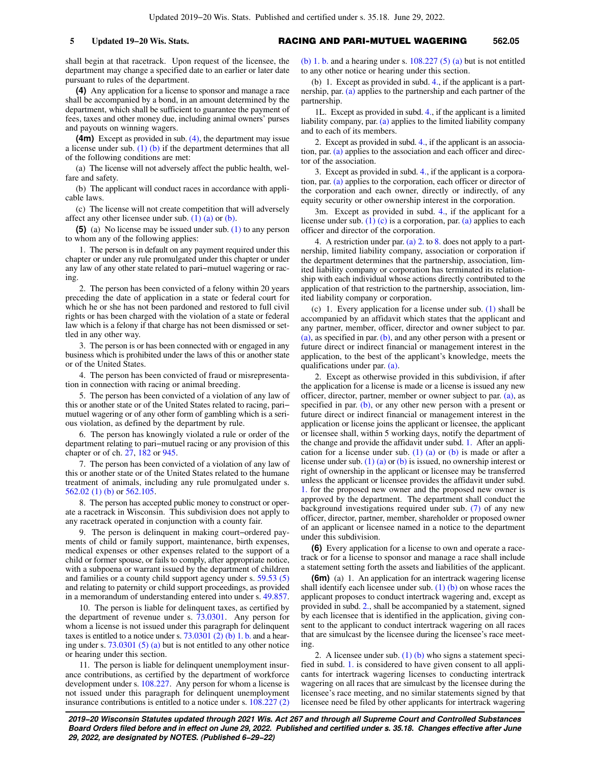shall begin at that racetrack. Upon request of the licensee, the department may change a specified date to an earlier or later date pursuant to rules of the department.

**(4)** Any application for a license to sponsor and manage a race shall be accompanied by a bond, in an amount determined by the department, which shall be sufficient to guarantee the payment of fees, taxes and other money due, including animal owners' purses and payouts on winning wagers.

**(4m)** Except as provided in sub. [\(4\),](https://docs.legis.wisconsin.gov/document/statutes/562.05(4)) the department may issue a license under sub. [\(1\) \(b\)](https://docs.legis.wisconsin.gov/document/statutes/562.05(1)(b)) if the department determines that all of the following conditions are met:

(a) The license will not adversely affect the public health, welfare and safety.

(b) The applicant will conduct races in accordance with applicable laws.

(c) The license will not create competition that will adversely affect any other licensee under sub.  $(1)$   $(a)$  or  $(b)$ .

**(5)** (a) No license may be issued under sub. [\(1\)](https://docs.legis.wisconsin.gov/document/statutes/562.05(1)) to any person to whom any of the following applies:

1. The person is in default on any payment required under this chapter or under any rule promulgated under this chapter or under any law of any other state related to pari−mutuel wagering or racing.

2. The person has been convicted of a felony within 20 years preceding the date of application in a state or federal court for which he or she has not been pardoned and restored to full civil rights or has been charged with the violation of a state or federal law which is a felony if that charge has not been dismissed or settled in any other way.

3. The person is or has been connected with or engaged in any business which is prohibited under the laws of this or another state or of the United States.

4. The person has been convicted of fraud or misrepresentation in connection with racing or animal breeding.

5. The person has been convicted of a violation of any law of this or another state or of the United States related to racing, pari− mutuel wagering or of any other form of gambling which is a serious violation, as defined by the department by rule.

6. The person has knowingly violated a rule or order of the department relating to pari−mutuel racing or any provision of this chapter or of ch. [27](https://docs.legis.wisconsin.gov/document/statutes/ch.%2027), [182](https://docs.legis.wisconsin.gov/document/statutes/ch.%20182) or [945](https://docs.legis.wisconsin.gov/document/statutes/ch.%20945).

7. The person has been convicted of a violation of any law of this or another state or of the United States related to the humane treatment of animals, including any rule promulgated under s. [562.02 \(1\) \(b\)](https://docs.legis.wisconsin.gov/document/statutes/562.02(1)(b)) or [562.105.](https://docs.legis.wisconsin.gov/document/statutes/562.105)

8. The person has accepted public money to construct or operate a racetrack in Wisconsin. This subdivision does not apply to any racetrack operated in conjunction with a county fair.

9. The person is delinquent in making court−ordered payments of child or family support, maintenance, birth expenses, medical expenses or other expenses related to the support of a child or former spouse, or fails to comply, after appropriate notice, with a subpoena or warrant issued by the department of children and families or a county child support agency under s. [59.53 \(5\)](https://docs.legis.wisconsin.gov/document/statutes/59.53(5)) and relating to paternity or child support proceedings, as provided in a memorandum of understanding entered into under s. [49.857.](https://docs.legis.wisconsin.gov/document/statutes/49.857)

10. The person is liable for delinquent taxes, as certified by the department of revenue under s. [73.0301](https://docs.legis.wisconsin.gov/document/statutes/73.0301). Any person for whom a license is not issued under this paragraph for delinquent taxes is entitled to a notice under s.  $73.0301$  (2) (b) 1. b. and a hearing under s.  $73.0301(5)(a)$  but is not entitled to any other notice or hearing under this section.

11. The person is liable for delinquent unemployment insurance contributions, as certified by the department of workforce development under s. [108.227.](https://docs.legis.wisconsin.gov/document/statutes/108.227) Any person for whom a license is not issued under this paragraph for delinquent unemployment insurance contributions is entitled to a notice under s. [108.227 \(2\)](https://docs.legis.wisconsin.gov/document/statutes/108.227(2)(b)1.b.) [\(b\) 1. b.](https://docs.legis.wisconsin.gov/document/statutes/108.227(2)(b)1.b.) and a hearing under s.  $108.227$  (5) (a) but is not entitled to any other notice or hearing under this section.

(b) 1. Except as provided in subd. [4.](https://docs.legis.wisconsin.gov/document/statutes/562.05(5)(b)4.), if the applicant is a partnership, par. [\(a\)](https://docs.legis.wisconsin.gov/document/statutes/562.05(5)(a)) applies to the partnership and each partner of the partnership.

1L. Except as provided in subd. [4.](https://docs.legis.wisconsin.gov/document/statutes/562.05(5)(b)4.), if the applicant is a limited liability company, par. [\(a\)](https://docs.legis.wisconsin.gov/document/statutes/562.05(5)(a)) applies to the limited liability company and to each of its members.

2. Except as provided in subd. [4.,](https://docs.legis.wisconsin.gov/document/statutes/562.05(5)(b)4.) if the applicant is an association, par. [\(a\)](https://docs.legis.wisconsin.gov/document/statutes/562.05(5)(a)) applies to the association and each officer and director of the association.

3. Except as provided in subd. [4.](https://docs.legis.wisconsin.gov/document/statutes/562.05(5)(b)4.), if the applicant is a corporation, par. [\(a\)](https://docs.legis.wisconsin.gov/document/statutes/562.05(5)(a)) applies to the corporation, each officer or director of the corporation and each owner, directly or indirectly, of any equity security or other ownership interest in the corporation.

3m. Except as provided in subd. [4.](https://docs.legis.wisconsin.gov/document/statutes/562.05(5)(b)4.), if the applicant for a license under sub.  $(1)$  (c) is a corporation, par. [\(a\)](https://docs.legis.wisconsin.gov/document/statutes/562.05(5)(a)) applies to each officer and director of the corporation.

4. A restriction under par. [\(a\) 2.](https://docs.legis.wisconsin.gov/document/statutes/562.05(5)(a)2.) to [8.](https://docs.legis.wisconsin.gov/document/statutes/562.05(5)(a)8.) does not apply to a partnership, limited liability company, association or corporation if the department determines that the partnership, association, limited liability company or corporation has terminated its relationship with each individual whose actions directly contributed to the application of that restriction to the partnership, association, limited liability company or corporation.

(c) 1. Every application for a license under sub. [\(1\)](https://docs.legis.wisconsin.gov/document/statutes/562.05(1)) shall be accompanied by an affidavit which states that the applicant and any partner, member, officer, director and owner subject to par.  $(a)$ , as specified in par.  $(b)$ , and any other person with a present or future direct or indirect financial or management interest in the application, to the best of the applicant's knowledge, meets the qualifications under par. [\(a\).](https://docs.legis.wisconsin.gov/document/statutes/562.05(5)(a))

2. Except as otherwise provided in this subdivision, if after the application for a license is made or a license is issued any new officer, director, partner, member or owner subject to par. [\(a\)](https://docs.legis.wisconsin.gov/document/statutes/562.05(5)(a)), as specified in par. [\(b\)](https://docs.legis.wisconsin.gov/document/statutes/562.05(5)(b)), or any other new person with a present or future direct or indirect financial or management interest in the application or license joins the applicant or licensee, the applicant or licensee shall, within 5 working days, notify the department of the change and provide the affidavit under subd. [1.](https://docs.legis.wisconsin.gov/document/statutes/562.05(5)(c)1.) After an appli-cation for a license under sub. [\(1\) \(a\)](https://docs.legis.wisconsin.gov/document/statutes/562.05(1)(a)) or [\(b\)](https://docs.legis.wisconsin.gov/document/statutes/562.05(1)(b)) is made or after a license under sub. [\(1\) \(a\)](https://docs.legis.wisconsin.gov/document/statutes/562.05(1)(a)) or [\(b\)](https://docs.legis.wisconsin.gov/document/statutes/562.05(1)(b)) is issued, no ownership interest or right of ownership in the applicant or licensee may be transferred unless the applicant or licensee provides the affidavit under subd. [1.](https://docs.legis.wisconsin.gov/document/statutes/562.05(5)(c)1.) for the proposed new owner and the proposed new owner is approved by the department. The department shall conduct the background investigations required under sub. [\(7\)](https://docs.legis.wisconsin.gov/document/statutes/562.05(7)) of any new officer, director, partner, member, shareholder or proposed owner of an applicant or licensee named in a notice to the department under this subdivision.

**(6)** Every application for a license to own and operate a racetrack or for a license to sponsor and manage a race shall include a statement setting forth the assets and liabilities of the applicant.

**(6m)** (a) 1. An application for an intertrack wagering license shall identify each licensee under sub.  $(1)$  (b) on whose races the applicant proposes to conduct intertrack wagering and, except as provided in subd. [2.,](https://docs.legis.wisconsin.gov/document/statutes/562.05(6m)(a)2.) shall be accompanied by a statement, signed by each licensee that is identified in the application, giving consent to the applicant to conduct intertrack wagering on all races that are simulcast by the licensee during the licensee's race meeting.

2. A licensee under sub. [\(1\) \(b\)](https://docs.legis.wisconsin.gov/document/statutes/562.05(1)(b)) who signs a statement specified in subd. [1.](https://docs.legis.wisconsin.gov/document/statutes/562.05(6m)(a)1.) is considered to have given consent to all applicants for intertrack wagering licenses to conducting intertrack wagering on all races that are simulcast by the licensee during the licensee's race meeting, and no similar statements signed by that licensee need be filed by other applicants for intertrack wagering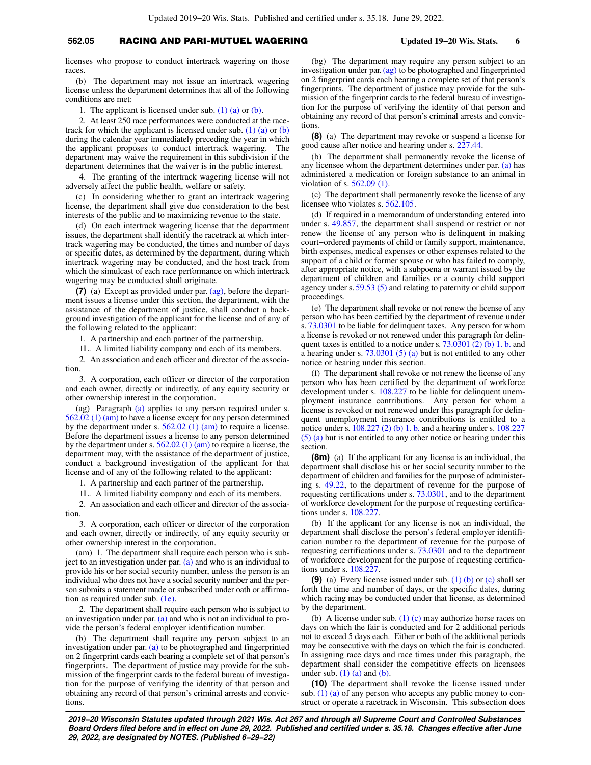# **562.05** RACING AND PARI-MUTUEL WAGERING **Updated 19−20 Wis. Stats. 6**

licenses who propose to conduct intertrack wagering on those races.

(b) The department may not issue an intertrack wagering license unless the department determines that all of the following conditions are met:

1. The applicant is licensed under sub.  $(1)$  (a) or  $(b)$ .

2. At least 250 race performances were conducted at the racetrack for which the applicant is licensed under sub.  $(1)$  (a) or [\(b\)](https://docs.legis.wisconsin.gov/document/statutes/562.05(1)(b)) during the calendar year immediately preceding the year in which the applicant proposes to conduct intertrack wagering. The department may waive the requirement in this subdivision if the department determines that the waiver is in the public interest.

4. The granting of the intertrack wagering license will not adversely affect the public health, welfare or safety.

(c) In considering whether to grant an intertrack wagering license, the department shall give due consideration to the best interests of the public and to maximizing revenue to the state.

(d) On each intertrack wagering license that the department issues, the department shall identify the racetrack at which intertrack wagering may be conducted, the times and number of days or specific dates, as determined by the department, during which intertrack wagering may be conducted, and the host track from which the simulcast of each race performance on which intertrack wagering may be conducted shall originate.

**(7)** (a) Except as provided under par. [\(ag\),](https://docs.legis.wisconsin.gov/document/statutes/562.05(7)(ag)) before the department issues a license under this section, the department, with the assistance of the department of justice, shall conduct a background investigation of the applicant for the license and of any of the following related to the applicant:

1. A partnership and each partner of the partnership.

1L. A limited liability company and each of its members.

2. An association and each officer and director of the association.

3. A corporation, each officer or director of the corporation and each owner, directly or indirectly, of any equity security or other ownership interest in the corporation.

(ag) Paragraph [\(a\)](https://docs.legis.wisconsin.gov/document/statutes/562.05(7)(a)) applies to any person required under s. [562.02 \(1\) \(am\)](https://docs.legis.wisconsin.gov/document/statutes/562.02(1)(am)) to have a license except for any person determined by the department under s. [562.02 \(1\) \(am\)](https://docs.legis.wisconsin.gov/document/statutes/562.02(1)(am)) to require a license. Before the department issues a license to any person determined by the department under s. [562.02 \(1\) \(am\)](https://docs.legis.wisconsin.gov/document/statutes/562.02(1)(am)) to require a license, the department may, with the assistance of the department of justice, conduct a background investigation of the applicant for that license and of any of the following related to the applicant:

1. A partnership and each partner of the partnership.

1L. A limited liability company and each of its members.

2. An association and each officer and director of the association.

3. A corporation, each officer or director of the corporation and each owner, directly or indirectly, of any equity security or other ownership interest in the corporation.

(am) 1. The department shall require each person who is subject to an investigation under par. [\(a\)](https://docs.legis.wisconsin.gov/document/statutes/562.05(7)(a)) and who is an individual to provide his or her social security number, unless the person is an individual who does not have a social security number and the person submits a statement made or subscribed under oath or affirmation as required under sub. [\(1e\).](https://docs.legis.wisconsin.gov/document/statutes/562.05(1e))

2. The department shall require each person who is subject to an investigation under par. [\(a\)](https://docs.legis.wisconsin.gov/document/statutes/562.05(7)(a)) and who is not an individual to provide the person's federal employer identification number.

(b) The department shall require any person subject to an investigation under par. [\(a\)](https://docs.legis.wisconsin.gov/document/statutes/562.05(7)(a)) to be photographed and fingerprinted on 2 fingerprint cards each bearing a complete set of that person's fingerprints. The department of justice may provide for the submission of the fingerprint cards to the federal bureau of investigation for the purpose of verifying the identity of that person and obtaining any record of that person's criminal arrests and convictions.

(bg) The department may require any person subject to an investigation under par. [\(ag\)](https://docs.legis.wisconsin.gov/document/statutes/562.05(7)(ag)) to be photographed and fingerprinted on 2 fingerprint cards each bearing a complete set of that person's fingerprints. The department of justice may provide for the submission of the fingerprint cards to the federal bureau of investigation for the purpose of verifying the identity of that person and obtaining any record of that person's criminal arrests and convictions.

**(8)** (a) The department may revoke or suspend a license for good cause after notice and hearing under s. [227.44.](https://docs.legis.wisconsin.gov/document/statutes/227.44)

(b) The department shall permanently revoke the license of any licensee whom the department determines under par. [\(a\)](https://docs.legis.wisconsin.gov/document/statutes/562.05(8)(a)) has administered a medication or foreign substance to an animal in violation of s. [562.09 \(1\)](https://docs.legis.wisconsin.gov/document/statutes/562.09(1)).

(c) The department shall permanently revoke the license of any licensee who violates s. [562.105](https://docs.legis.wisconsin.gov/document/statutes/562.105).

(d) If required in a memorandum of understanding entered into under s. [49.857](https://docs.legis.wisconsin.gov/document/statutes/49.857), the department shall suspend or restrict or not renew the license of any person who is delinquent in making court−ordered payments of child or family support, maintenance, birth expenses, medical expenses or other expenses related to the support of a child or former spouse or who has failed to comply, after appropriate notice, with a subpoena or warrant issued by the department of children and families or a county child support agency under s. [59.53 \(5\)](https://docs.legis.wisconsin.gov/document/statutes/59.53(5)) and relating to paternity or child support proceedings.

(e) The department shall revoke or not renew the license of any person who has been certified by the department of revenue under s. [73.0301](https://docs.legis.wisconsin.gov/document/statutes/73.0301) to be liable for delinquent taxes. Any person for whom a license is revoked or not renewed under this paragraph for delinquent taxes is entitled to a notice under s.  $73.0301$  (2) (b) 1. b. and a hearing under s. [73.0301 \(5\) \(a\)](https://docs.legis.wisconsin.gov/document/statutes/73.0301(5)(a)) but is not entitled to any other notice or hearing under this section.

(f) The department shall revoke or not renew the license of any person who has been certified by the department of workforce development under s. [108.227](https://docs.legis.wisconsin.gov/document/statutes/108.227) to be liable for delinquent unemployment insurance contributions. Any person for whom a license is revoked or not renewed under this paragraph for delinquent unemployment insurance contributions is entitled to a notice under s. [108.227 \(2\) \(b\) 1. b.](https://docs.legis.wisconsin.gov/document/statutes/108.227(2)(b)1.b.) and a hearing under s. [108.227](https://docs.legis.wisconsin.gov/document/statutes/108.227(5)(a)) [\(5\) \(a\)](https://docs.legis.wisconsin.gov/document/statutes/108.227(5)(a)) but is not entitled to any other notice or hearing under this section.

**(8m)** (a) If the applicant for any license is an individual, the department shall disclose his or her social security number to the department of children and families for the purpose of administering s. [49.22,](https://docs.legis.wisconsin.gov/document/statutes/49.22) to the department of revenue for the purpose of requesting certifications under s. [73.0301](https://docs.legis.wisconsin.gov/document/statutes/73.0301), and to the department of workforce development for the purpose of requesting certifications under s. [108.227](https://docs.legis.wisconsin.gov/document/statutes/108.227).

(b) If the applicant for any license is not an individual, the department shall disclose the person's federal employer identification number to the department of revenue for the purpose of requesting certifications under s. [73.0301](https://docs.legis.wisconsin.gov/document/statutes/73.0301) and to the department of workforce development for the purpose of requesting certifications under s. [108.227](https://docs.legis.wisconsin.gov/document/statutes/108.227).

**(9)** (a) Every license issued under sub. [\(1\) \(b\)](https://docs.legis.wisconsin.gov/document/statutes/562.05(1)(b)) or [\(c\)](https://docs.legis.wisconsin.gov/document/statutes/562.05(1)(c)) shall set forth the time and number of days, or the specific dates, during which racing may be conducted under that license, as determined by the department.

(b) A license under sub. [\(1\) \(c\)](https://docs.legis.wisconsin.gov/document/statutes/562.05(1)(c)) may authorize horse races on days on which the fair is conducted and for 2 additional periods not to exceed 5 days each. Either or both of the additional periods may be consecutive with the days on which the fair is conducted. In assigning race days and race times under this paragraph, the department shall consider the competitive effects on licensees under sub.  $(1)$   $(a)$  and  $(b)$ .

**(10)** The department shall revoke the license issued under sub.  $(1)$  (a) of any person who accepts any public money to construct or operate a racetrack in Wisconsin. This subsection does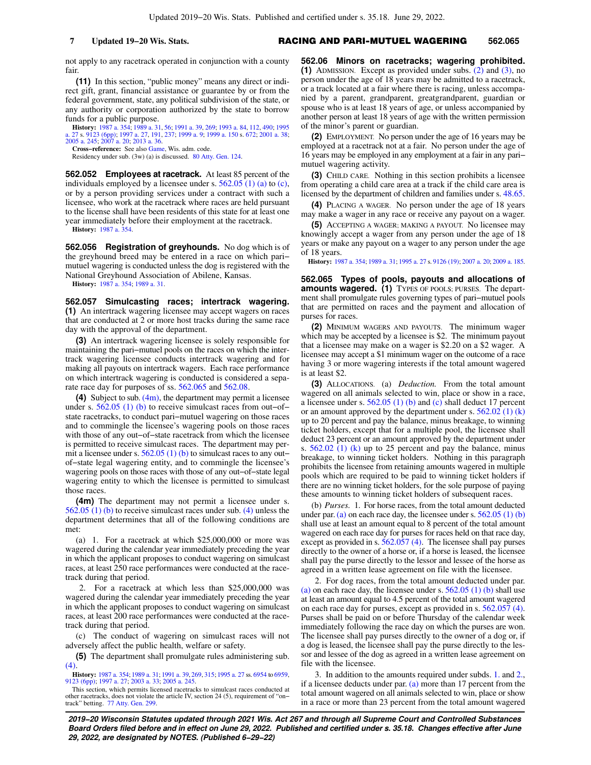not apply to any racetrack operated in conjunction with a county fair.

**(11)** In this section, "public money" means any direct or indirect gift, grant, financial assistance or guarantee by or from the federal government, state, any political subdivision of the state, or any authority or corporation authorized by the state to borrow funds for a public purpose.

**History:** [1987 a. 354;](https://docs.legis.wisconsin.gov/document/acts/1987/354) [1989 a. 31](https://docs.legis.wisconsin.gov/document/acts/1989/31), [56](https://docs.legis.wisconsin.gov/document/acts/1989/56); [1991 a. 39](https://docs.legis.wisconsin.gov/document/acts/1991/39), [269](https://docs.legis.wisconsin.gov/document/acts/1991/269); [1993 a. 84](https://docs.legis.wisconsin.gov/document/acts/1993/84), [112,](https://docs.legis.wisconsin.gov/document/acts/1993/112) [490;](https://docs.legis.wisconsin.gov/document/acts/1993/490) [1995](https://docs.legis.wisconsin.gov/document/acts/1995/27) [a. 27](https://docs.legis.wisconsin.gov/document/acts/1995/27) s. [9123 \(6pp\)](https://docs.legis.wisconsin.gov/document/acts/1995/27,%20s.%209123); [1997 a. 27](https://docs.legis.wisconsin.gov/document/acts/1997/27), [191](https://docs.legis.wisconsin.gov/document/acts/1997/191), [237](https://docs.legis.wisconsin.gov/document/acts/1997/237); [1999 a. 9](https://docs.legis.wisconsin.gov/document/acts/1999/9); [1999 a. 150](https://docs.legis.wisconsin.gov/document/acts/1999/150) s. [672](https://docs.legis.wisconsin.gov/document/acts/1999/150,%20s.%20672); [2001 a. 38](https://docs.legis.wisconsin.gov/document/acts/2001/38); [2005 a. 245;](https://docs.legis.wisconsin.gov/document/acts/2005/245) [2007 a. 20;](https://docs.legis.wisconsin.gov/document/acts/2007/20) [2013 a. 36](https://docs.legis.wisconsin.gov/document/acts/2013/36).

**Cross−reference:** See also [Game,](https://docs.legis.wisconsin.gov/document/administrativecode/Game) Wis. adm. code.

Residency under sub. (3w) (a) is discussed. [80 Atty. Gen. 124.](https://docs.legis.wisconsin.gov/document/oag/vol80-124)

**562.052 Employees at racetrack.** At least 85 percent of the individuals employed by a licensee under s. [562.05 \(1\) \(a\)](https://docs.legis.wisconsin.gov/document/statutes/562.05(1)(a)) to [\(c\),](https://docs.legis.wisconsin.gov/document/statutes/562.05(1)(c)) or by a person providing services under a contract with such a licensee, who work at the racetrack where races are held pursuant to the license shall have been residents of this state for at least one year immediately before their employment at the racetrack.

**History:** [1987 a. 354](https://docs.legis.wisconsin.gov/document/acts/1987/354).

**562.056 Registration of greyhounds.** No dog which is of the greyhound breed may be entered in a race on which pari− mutuel wagering is conducted unless the dog is registered with the National Greyhound Association of Abilene, Kansas.

**History:** [1987 a. 354](https://docs.legis.wisconsin.gov/document/acts/1987/354); [1989 a. 31.](https://docs.legis.wisconsin.gov/document/acts/1989/31)

**562.057 Simulcasting races; intertrack wagering. (1)** An intertrack wagering licensee may accept wagers on races that are conducted at 2 or more host tracks during the same race day with the approval of the department.

**(3)** An intertrack wagering licensee is solely responsible for maintaining the pari−mutuel pools on the races on which the intertrack wagering licensee conducts intertrack wagering and for making all payouts on intertrack wagers. Each race performance on which intertrack wagering is conducted is considered a separate race day for purposes of ss. [562.065](https://docs.legis.wisconsin.gov/document/statutes/562.065) and [562.08.](https://docs.legis.wisconsin.gov/document/statutes/562.08)

**(4)** Subject to sub. [\(4m\),](https://docs.legis.wisconsin.gov/document/statutes/562.057(4m)) the department may permit a licensee under s. [562.05 \(1\) \(b\)](https://docs.legis.wisconsin.gov/document/statutes/562.05(1)(b)) to receive simulcast races from out−of− state racetracks, to conduct pari−mutuel wagering on those races and to commingle the licensee's wagering pools on those races with those of any out−of−state racetrack from which the licensee is permitted to receive simulcast races. The department may permit a licensee under s.  $562.05(1)$  (b) to simulcast races to any out– of−state legal wagering entity, and to commingle the licensee's wagering pools on those races with those of any out−of−state legal wagering entity to which the licensee is permitted to simulcast those races.

**(4m)** The department may not permit a licensee under s. [562.05 \(1\) \(b\)](https://docs.legis.wisconsin.gov/document/statutes/562.05(1)(b)) to receive simulcast races under sub. [\(4\)](https://docs.legis.wisconsin.gov/document/statutes/562.057(4)) unless the department determines that all of the following conditions are met:

(a) 1. For a racetrack at which \$25,000,000 or more was wagered during the calendar year immediately preceding the year in which the applicant proposes to conduct wagering on simulcast races, at least 250 race performances were conducted at the racetrack during that period.

2. For a racetrack at which less than \$25,000,000 was wagered during the calendar year immediately preceding the year in which the applicant proposes to conduct wagering on simulcast races, at least 200 race performances were conducted at the racetrack during that period.

(c) The conduct of wagering on simulcast races will not adversely affect the public health, welfare or safety.

**(5)** The department shall promulgate rules administering sub. [\(4\)](https://docs.legis.wisconsin.gov/document/statutes/562.057(4)).

**History:** [1987 a. 354;](https://docs.legis.wisconsin.gov/document/acts/1987/354) [1989 a. 31;](https://docs.legis.wisconsin.gov/document/acts/1989/31) [1991 a. 39,](https://docs.legis.wisconsin.gov/document/acts/1991/39) [269,](https://docs.legis.wisconsin.gov/document/acts/1991/269) [315](https://docs.legis.wisconsin.gov/document/acts/1991/315); [1995 a. 27](https://docs.legis.wisconsin.gov/document/acts/1995/27) ss. [6954](https://docs.legis.wisconsin.gov/document/acts/1995/27,%20s.%206954) to [6959](https://docs.legis.wisconsin.gov/document/acts/1995/27,%20s.%206959), [9123 \(6pp\);](https://docs.legis.wisconsin.gov/document/acts/1995/27,%20s.%209123) [1997 a. 27;](https://docs.legis.wisconsin.gov/document/acts/1997/27) [2003 a. 33](https://docs.legis.wisconsin.gov/document/acts/2003/33); [2005 a. 245.](https://docs.legis.wisconsin.gov/document/acts/2005/245)

This section, which permits licensed racetracks to simulcast races conducted at other racetracks, does not violate the article IV, section 24 (5), requirement of "on− track" betting. [77 Atty. Gen. 299](https://docs.legis.wisconsin.gov/document/oag/vol77-299).

**562.06 Minors on racetracks; wagering prohibited. (1)** ADMISSION. Except as provided under subs. [\(2\)](https://docs.legis.wisconsin.gov/document/statutes/562.06(2)) and [\(3\)](https://docs.legis.wisconsin.gov/document/statutes/562.06(3)), no person under the age of 18 years may be admitted to a racetrack, or a track located at a fair where there is racing, unless accompanied by a parent, grandparent, greatgrandparent, guardian or spouse who is at least 18 years of age, or unless accompanied by another person at least 18 years of age with the written permission of the minor's parent or guardian.

**(2)** EMPLOYMENT. No person under the age of 16 years may be employed at a racetrack not at a fair. No person under the age of 16 years may be employed in any employment at a fair in any pari− mutuel wagering activity.

**(3)** CHILD CARE. Nothing in this section prohibits a licensee from operating a child care area at a track if the child care area is licensed by the department of children and families under s. [48.65.](https://docs.legis.wisconsin.gov/document/statutes/48.65)

**(4)** PLACING A WAGER. No person under the age of 18 years may make a wager in any race or receive any payout on a wager.

**(5)** ACCEPTING A WAGER; MAKING A PAYOUT. No licensee may knowingly accept a wager from any person under the age of 18 years or make any payout on a wager to any person under the age of 18 years.

**History:** [1987 a. 354;](https://docs.legis.wisconsin.gov/document/acts/1987/354) [1989 a. 31](https://docs.legis.wisconsin.gov/document/acts/1989/31); [1995 a. 27](https://docs.legis.wisconsin.gov/document/acts/1995/27) s. [9126 \(19\);](https://docs.legis.wisconsin.gov/document/acts/1995/27,%20s.%209126) [2007 a. 20](https://docs.legis.wisconsin.gov/document/acts/2007/20); [2009 a. 185](https://docs.legis.wisconsin.gov/document/acts/2009/185).

**562.065 Types of pools, payouts and allocations of amounts wagered. (1)** TYPES OF POOLS; PURSES. The department shall promulgate rules governing types of pari−mutuel pools that are permitted on races and the payment and allocation of purses for races.

**(2)** MINIMUM WAGERS AND PAYOUTS. The minimum wager which may be accepted by a licensee is \$2. The minimum payout that a licensee may make on a wager is \$2.20 on a \$2 wager. A licensee may accept a \$1 minimum wager on the outcome of a race having 3 or more wagering interests if the total amount wagered is at least \$2.

**(3)** ALLOCATIONS. (a) *Deduction.* From the total amount wagered on all animals selected to win, place or show in a race, a licensee under s. [562.05 \(1\) \(b\)](https://docs.legis.wisconsin.gov/document/statutes/562.05(1)(b)) and [\(c\)](https://docs.legis.wisconsin.gov/document/statutes/562.05(1)(c)) shall deduct 17 percent or an amount approved by the department under s.  $562.02$  (1) (k) up to 20 percent and pay the balance, minus breakage, to winning ticket holders, except that for a multiple pool, the licensee shall deduct 23 percent or an amount approved by the department under s.  $562.02$  (1) (k) up to 25 percent and pay the balance, minus breakage, to winning ticket holders. Nothing in this paragraph prohibits the licensee from retaining amounts wagered in multiple pools which are required to be paid to winning ticket holders if there are no winning ticket holders, for the sole purpose of paying these amounts to winning ticket holders of subsequent races.

(b) *Purses.* 1. For horse races, from the total amount deducted under par. [\(a\)](https://docs.legis.wisconsin.gov/document/statutes/562.065(3)(a)) on each race day, the licensee under s.  $562.05(1)(b)$ shall use at least an amount equal to 8 percent of the total amount wagered on each race day for purses for races held on that race day, except as provided in s. [562.057 \(4\).](https://docs.legis.wisconsin.gov/document/statutes/562.057(4)) The licensee shall pay purses directly to the owner of a horse or, if a horse is leased, the licensee shall pay the purse directly to the lessor and lessee of the horse as agreed in a written lease agreement on file with the licensee.

2. For dog races, from the total amount deducted under par. [\(a\)](https://docs.legis.wisconsin.gov/document/statutes/562.065(3)(a)) on each race day, the licensee under s.  $562.05(1)$  (b) shall use at least an amount equal to 4.5 percent of the total amount wagered on each race day for purses, except as provided in s. [562.057 \(4\).](https://docs.legis.wisconsin.gov/document/statutes/562.057(4)) Purses shall be paid on or before Thursday of the calendar week immediately following the race day on which the purses are won. The licensee shall pay purses directly to the owner of a dog or, if a dog is leased, the licensee shall pay the purse directly to the lessor and lessee of the dog as agreed in a written lease agreement on file with the licensee.

3. In addition to the amounts required under subds. [1.](https://docs.legis.wisconsin.gov/document/statutes/562.065(3)(b)1.) and [2.,](https://docs.legis.wisconsin.gov/document/statutes/562.065(3)(b)2.) if a licensee deducts under par. [\(a\)](https://docs.legis.wisconsin.gov/document/statutes/562.065(3)(a)) more than 17 percent from the total amount wagered on all animals selected to win, place or show in a race or more than 23 percent from the total amount wagered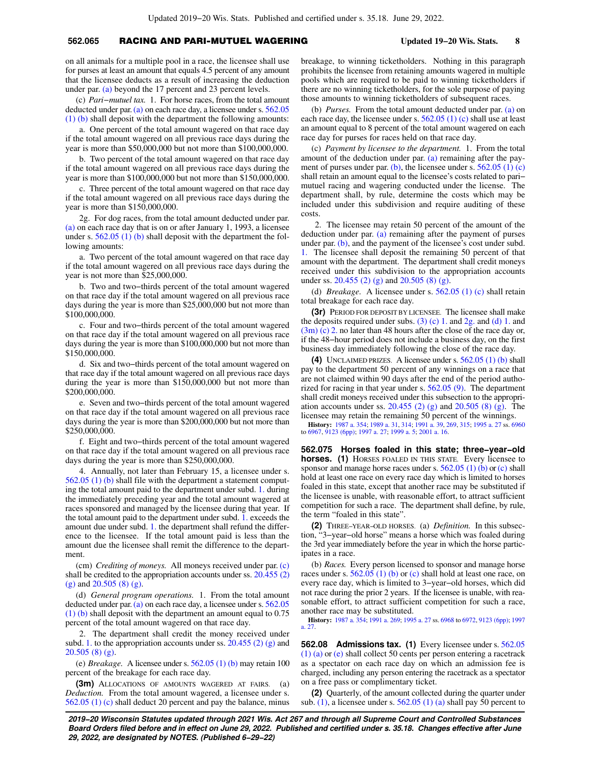## **562.065** RACING AND PARI-MUTUEL WAGERING **Updated 19−20 Wis. Stats. 8**

on all animals for a multiple pool in a race, the licensee shall use for purses at least an amount that equals 4.5 percent of any amount that the licensee deducts as a result of increasing the deduction under par. [\(a\)](https://docs.legis.wisconsin.gov/document/statutes/562.065(3)(a)) beyond the 17 percent and 23 percent levels.

(c) *Pari−mutuel tax.* 1. For horse races, from the total amount deducted under par. [\(a\)](https://docs.legis.wisconsin.gov/document/statutes/562.065(3)(a)) on each race day, a licensee under s. [562.05](https://docs.legis.wisconsin.gov/document/statutes/562.05(1)(b)) [\(1\) \(b\)](https://docs.legis.wisconsin.gov/document/statutes/562.05(1)(b)) shall deposit with the department the following amounts:

a. One percent of the total amount wagered on that race day if the total amount wagered on all previous race days during the year is more than \$50,000,000 but not more than \$100,000,000.

b. Two percent of the total amount wagered on that race day if the total amount wagered on all previous race days during the year is more than \$100,000,000 but not more than \$150,000,000.

c. Three percent of the total amount wagered on that race day if the total amount wagered on all previous race days during the year is more than \$150,000,000.

2g. For dog races, from the total amount deducted under par. [\(a\)](https://docs.legis.wisconsin.gov/document/statutes/562.065(3)(a)) on each race day that is on or after January 1, 1993, a licensee under s. [562.05 \(1\) \(b\)](https://docs.legis.wisconsin.gov/document/statutes/562.05(1)(b)) shall deposit with the department the following amounts:

a. Two percent of the total amount wagered on that race day if the total amount wagered on all previous race days during the year is not more than \$25,000,000.

b. Two and two−thirds percent of the total amount wagered on that race day if the total amount wagered on all previous race days during the year is more than \$25,000,000 but not more than \$100,000,000.

c. Four and two−thirds percent of the total amount wagered on that race day if the total amount wagered on all previous race days during the year is more than \$100,000,000 but not more than \$150,000,000.

d. Six and two−thirds percent of the total amount wagered on that race day if the total amount wagered on all previous race days during the year is more than \$150,000,000 but not more than \$200,000,000.

e. Seven and two−thirds percent of the total amount wagered on that race day if the total amount wagered on all previous race days during the year is more than \$200,000,000 but not more than \$250,000,000.

f. Eight and two−thirds percent of the total amount wagered on that race day if the total amount wagered on all previous race days during the year is more than \$250,000,000.

4. Annually, not later than February 15, a licensee under s. [562.05 \(1\) \(b\)](https://docs.legis.wisconsin.gov/document/statutes/562.05(1)(b)) shall file with the department a statement computing the total amount paid to the department under subd. [1.](https://docs.legis.wisconsin.gov/document/statutes/562.065(3)(c)1.) during the immediately preceding year and the total amount wagered at races sponsored and managed by the licensee during that year. If the total amount paid to the department under subd. [1.](https://docs.legis.wisconsin.gov/document/statutes/562.065(3)(c)1.) exceeds the amount due under subd. [1.](https://docs.legis.wisconsin.gov/document/statutes/562.065(3)(c)1.) the department shall refund the difference to the licensee. If the total amount paid is less than the amount due the licensee shall remit the difference to the department.

(cm) *Crediting of moneys.* All moneys received under par. [\(c\)](https://docs.legis.wisconsin.gov/document/statutes/562.065(3)(c)) shall be credited to the appropriation accounts under ss. [20.455 \(2\)](https://docs.legis.wisconsin.gov/document/statutes/20.455(2)(g)) [\(g\)](https://docs.legis.wisconsin.gov/document/statutes/20.455(2)(g)) and [20.505 \(8\) \(g\)](https://docs.legis.wisconsin.gov/document/statutes/20.505(8)(g)).

(d) *General program operations.* 1. From the total amount deducted under par. [\(a\)](https://docs.legis.wisconsin.gov/document/statutes/562.065(3)(a)) on each race day, a licensee under s. [562.05](https://docs.legis.wisconsin.gov/document/statutes/562.05(1)(b)) [\(1\) \(b\)](https://docs.legis.wisconsin.gov/document/statutes/562.05(1)(b)) shall deposit with the department an amount equal to 0.75 percent of the total amount wagered on that race day.

2. The department shall credit the money received under subd. [1.](https://docs.legis.wisconsin.gov/document/statutes/562.065(3)(d)1.) to the appropriation accounts under ss.  $20.455(2)(g)$  and [20.505 \(8\) \(g\)](https://docs.legis.wisconsin.gov/document/statutes/20.505(8)(g)).

(e) *Breakage.* A licensee under s. [562.05 \(1\) \(b\)](https://docs.legis.wisconsin.gov/document/statutes/562.05(1)(b)) may retain 100 percent of the breakage for each race day.

**(3m)** ALLOCATIONS OF AMOUNTS WAGERED AT FAIRS. (a) *Deduction.* From the total amount wagered, a licensee under s. [562.05 \(1\) \(c\)](https://docs.legis.wisconsin.gov/document/statutes/562.05(1)(c)) shall deduct 20 percent and pay the balance, minus breakage, to winning ticketholders. Nothing in this paragraph prohibits the licensee from retaining amounts wagered in multiple pools which are required to be paid to winning ticketholders if there are no winning ticketholders, for the sole purpose of paying those amounts to winning ticketholders of subsequent races.

(b) *Purses.* From the total amount deducted under par. [\(a\)](https://docs.legis.wisconsin.gov/document/statutes/562.065(3m)(a)) on each race day, the licensee under s.  $562.05(1)(c)$  shall use at least an amount equal to 8 percent of the total amount wagered on each race day for purses for races held on that race day.

(c) *Payment by licensee to the department.* 1. From the total amount of the deduction under par. [\(a\)](https://docs.legis.wisconsin.gov/document/statutes/562.065(3m)(a)) remaining after the pay-ment of purses under par. [\(b\)](https://docs.legis.wisconsin.gov/document/statutes/562.065(3m)(b)), the licensee under s.  $562.05(1)(c)$ shall retain an amount equal to the licensee's costs related to pari− mutuel racing and wagering conducted under the license. The department shall, by rule, determine the costs which may be included under this subdivision and require auditing of these costs.

2. The licensee may retain 50 percent of the amount of the deduction under par. [\(a\)](https://docs.legis.wisconsin.gov/document/statutes/562.065(3m)(a)) remaining after the payment of purses under par. [\(b\)](https://docs.legis.wisconsin.gov/document/statutes/562.065(3m)(b)), and the payment of the licensee's cost under subd. [1.](https://docs.legis.wisconsin.gov/document/statutes/562.065(3m)(c)1.) The licensee shall deposit the remaining 50 percent of that amount with the department. The department shall credit moneys received under this subdivision to the appropriation accounts under ss. [20.455 \(2\) \(g\)](https://docs.legis.wisconsin.gov/document/statutes/20.455(2)(g)) and [20.505 \(8\) \(g\)](https://docs.legis.wisconsin.gov/document/statutes/20.505(8)(g)).

(d) *Breakage.* A licensee under s. [562.05 \(1\) \(c\)](https://docs.legis.wisconsin.gov/document/statutes/562.05(1)(c)) shall retain total breakage for each race day.

**(3r)** PERIOD FOR DEPOSIT BY LICENSEE. The licensee shall make the deposits required under subs. (3) (c) 1, and  $2*g*$ , and (d) 1, and [\(3m\) \(c\) 2.](https://docs.legis.wisconsin.gov/document/statutes/562.065(3m)(c)2.) no later than 48 hours after the close of the race day or, if the 48−hour period does not include a business day, on the first business day immediately following the close of the race day.

**(4)** UNCLAIMED PRIZES. A licensee under s. [562.05 \(1\) \(b\)](https://docs.legis.wisconsin.gov/document/statutes/562.05(1)(b)) shall pay to the department 50 percent of any winnings on a race that are not claimed within 90 days after the end of the period authorized for racing in that year under s. [562.05 \(9\).](https://docs.legis.wisconsin.gov/document/statutes/562.05(9)) The department shall credit moneys received under this subsection to the appropri-ation accounts under ss. [20.455 \(2\) \(g\)](https://docs.legis.wisconsin.gov/document/statutes/20.455(2)(g)) and  $20.505$  (8) (g). The licensee may retain the remaining 50 percent of the winnings.

**History:** [1987 a. 354;](https://docs.legis.wisconsin.gov/document/acts/1987/354) [1989 a. 31,](https://docs.legis.wisconsin.gov/document/acts/1989/31) [314](https://docs.legis.wisconsin.gov/document/acts/1989/314); [1991 a. 39](https://docs.legis.wisconsin.gov/document/acts/1991/39), [269](https://docs.legis.wisconsin.gov/document/acts/1991/269), [315](https://docs.legis.wisconsin.gov/document/acts/1991/315); [1995 a. 27](https://docs.legis.wisconsin.gov/document/acts/1995/27) ss. [6960](https://docs.legis.wisconsin.gov/document/acts/1995/27,%20s.%206960) to [6967](https://docs.legis.wisconsin.gov/document/acts/1995/27,%20s.%206967), [9123 \(6pp\);](https://docs.legis.wisconsin.gov/document/acts/1995/27,%20s.%209123) [1997 a. 27;](https://docs.legis.wisconsin.gov/document/acts/1997/27) [1999 a. 5;](https://docs.legis.wisconsin.gov/document/acts/1999/5) [2001 a. 16.](https://docs.legis.wisconsin.gov/document/acts/2001/16)

**562.075 Horses foaled in this state; three−year−old horses. (1)** HORSES FOALED IN THIS STATE. Every licensee to sponsor and manage horse races under s.  $562.05$  (1) (b) or [\(c\)](https://docs.legis.wisconsin.gov/document/statutes/562.05(1)(c)) shall hold at least one race on every race day which is limited to horses foaled in this state, except that another race may be substituted if the licensee is unable, with reasonable effort, to attract sufficient competition for such a race. The department shall define, by rule, the term "foaled in this state".

**(2)** THREE−YEAR−OLD HORSES. (a) *Definition.* In this subsection, "3−year−old horse" means a horse which was foaled during the 3rd year immediately before the year in which the horse participates in a race.

(b) *Races.* Every person licensed to sponsor and manage horse races under s.  $562.05(1)$  (b) or [\(c\)](https://docs.legis.wisconsin.gov/document/statutes/562.05(1)(c)) shall hold at least one race, on every race day, which is limited to 3−year−old horses, which did not race during the prior 2 years. If the licensee is unable, with reasonable effort, to attract sufficient competition for such a race, another race may be substituted.

**History:** [1987 a. 354](https://docs.legis.wisconsin.gov/document/acts/1987/354); [1991 a. 269;](https://docs.legis.wisconsin.gov/document/acts/1991/269) [1995 a. 27](https://docs.legis.wisconsin.gov/document/acts/1995/27) ss. [6968](https://docs.legis.wisconsin.gov/document/acts/1995/27,%20s.%206968) to [6972](https://docs.legis.wisconsin.gov/document/acts/1995/27,%20s.%206972), [9123 \(6pp\);](https://docs.legis.wisconsin.gov/document/acts/1995/27,%20s.%209123) [1997](https://docs.legis.wisconsin.gov/document/acts/1997/27) [a. 27.](https://docs.legis.wisconsin.gov/document/acts/1997/27)

**562.08 Admissions tax. (1)** Every licensee under s. [562.05](https://docs.legis.wisconsin.gov/document/statutes/562.05(1)(a)) [\(1\) \(a\)](https://docs.legis.wisconsin.gov/document/statutes/562.05(1)(a)) or [\(e\)](https://docs.legis.wisconsin.gov/document/statutes/562.05(1)(e)) shall collect 50 cents per person entering a racetrack as a spectator on each race day on which an admission fee is charged, including any person entering the racetrack as a spectator on a free pass or complimentary ticket.

**(2)** Quarterly, of the amount collected during the quarter under sub.  $(1)$ , a licensee under s. 562.05  $(1)$  (a) shall pay 50 percent to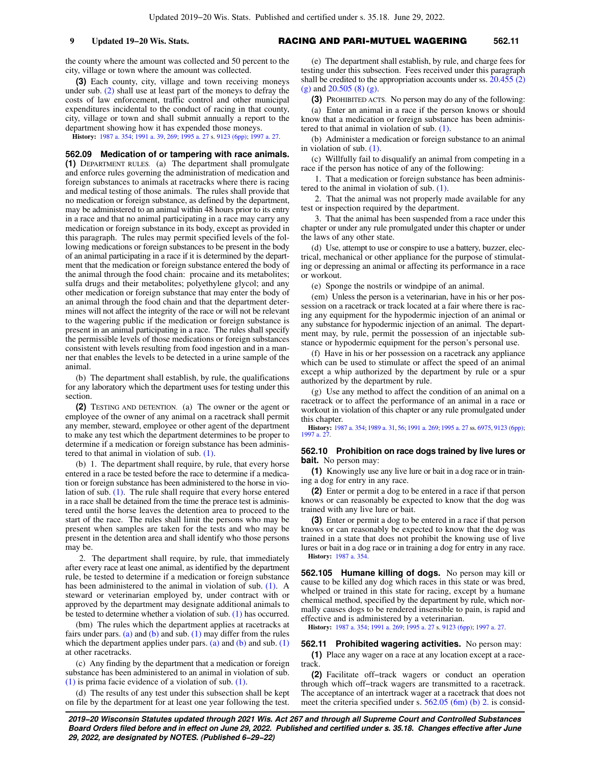the county where the amount was collected and 50 percent to the city, village or town where the amount was collected.

**(3)** Each county, city, village and town receiving moneys under sub. [\(2\)](https://docs.legis.wisconsin.gov/document/statutes/562.08(2)) shall use at least part of the moneys to defray the costs of law enforcement, traffic control and other municipal expenditures incidental to the conduct of racing in that county, city, village or town and shall submit annually a report to the department showing how it has expended those moneys.

**History:** [1987 a. 354](https://docs.legis.wisconsin.gov/document/acts/1987/354); [1991 a. 39,](https://docs.legis.wisconsin.gov/document/acts/1991/39) [269;](https://docs.legis.wisconsin.gov/document/acts/1991/269) [1995 a. 27](https://docs.legis.wisconsin.gov/document/acts/1995/27) s. [9123 \(6pp\);](https://docs.legis.wisconsin.gov/document/acts/1995/27,%20s.%209123) [1997 a. 27.](https://docs.legis.wisconsin.gov/document/acts/1997/27)

**562.09 Medication of or tampering with race animals. (1)** DEPARTMENT RULES. (a) The department shall promulgate and enforce rules governing the administration of medication and foreign substances to animals at racetracks where there is racing and medical testing of those animals. The rules shall provide that no medication or foreign substance, as defined by the department, may be administered to an animal within 48 hours prior to its entry in a race and that no animal participating in a race may carry any medication or foreign substance in its body, except as provided in this paragraph. The rules may permit specified levels of the following medications or foreign substances to be present in the body of an animal participating in a race if it is determined by the department that the medication or foreign substance entered the body of the animal through the food chain: procaine and its metabolites; sulfa drugs and their metabolites; polyethylene glycol; and any other medication or foreign substance that may enter the body of an animal through the food chain and that the department determines will not affect the integrity of the race or will not be relevant to the wagering public if the medication or foreign substance is present in an animal participating in a race. The rules shall specify the permissible levels of those medications or foreign substances consistent with levels resulting from food ingestion and in a manner that enables the levels to be detected in a urine sample of the animal.

(b) The department shall establish, by rule, the qualifications for any laboratory which the department uses for testing under this section.

**(2)** TESTING AND DETENTION. (a) The owner or the agent or employee of the owner of any animal on a racetrack shall permit any member, steward, employee or other agent of the department to make any test which the department determines to be proper to determine if a medication or foreign substance has been administered to that animal in violation of sub. [\(1\)](https://docs.legis.wisconsin.gov/document/statutes/562.09(1)).

(b) 1. The department shall require, by rule, that every horse entered in a race be tested before the race to determine if a medication or foreign substance has been administered to the horse in violation of sub. [\(1\).](https://docs.legis.wisconsin.gov/document/statutes/562.09(1)) The rule shall require that every horse entered in a race shall be detained from the time the prerace test is administered until the horse leaves the detention area to proceed to the start of the race. The rules shall limit the persons who may be present when samples are taken for the tests and who may be present in the detention area and shall identify who those persons may be.

2. The department shall require, by rule, that immediately after every race at least one animal, as identified by the department rule, be tested to determine if a medication or foreign substance has been administered to the animal in violation of sub. [\(1\).](https://docs.legis.wisconsin.gov/document/statutes/562.09(1)) A steward or veterinarian employed by, under contract with or approved by the department may designate additional animals to be tested to determine whether a violation of sub. [\(1\)](https://docs.legis.wisconsin.gov/document/statutes/562.09(1)) has occurred.

(bm) The rules which the department applies at racetracks at fairs under pars. [\(a\)](https://docs.legis.wisconsin.gov/document/statutes/562.09(2)(a)) and [\(b\)](https://docs.legis.wisconsin.gov/document/statutes/562.09(2)(b)) and sub. [\(1\)](https://docs.legis.wisconsin.gov/document/statutes/562.09(1)) may differ from the rules which the department applies under pars. [\(a\)](https://docs.legis.wisconsin.gov/document/statutes/562.09(2)(a)) and [\(b\)](https://docs.legis.wisconsin.gov/document/statutes/562.09(2)(b)) and sub.  $(1)$ at other racetracks.

(c) Any finding by the department that a medication or foreign substance has been administered to an animal in violation of sub. [\(1\)](https://docs.legis.wisconsin.gov/document/statutes/562.09(1)) is prima facie evidence of a violation of sub. [\(1\)](https://docs.legis.wisconsin.gov/document/statutes/562.09(1)).

(d) The results of any test under this subsection shall be kept on file by the department for at least one year following the test.

(e) The department shall establish, by rule, and charge fees for testing under this subsection. Fees received under this paragraph shall be credited to the appropriation accounts under ss. [20.455 \(2\)](https://docs.legis.wisconsin.gov/document/statutes/20.455(2)(g)) [\(g\)](https://docs.legis.wisconsin.gov/document/statutes/20.455(2)(g)) and [20.505 \(8\) \(g\).](https://docs.legis.wisconsin.gov/document/statutes/20.505(8)(g))

**(3)** PROHIBITED ACTS. No person may do any of the following:

(a) Enter an animal in a race if the person knows or should know that a medication or foreign substance has been administered to that animal in violation of sub. [\(1\).](https://docs.legis.wisconsin.gov/document/statutes/562.09(1))

(b) Administer a medication or foreign substance to an animal in violation of sub. [\(1\)](https://docs.legis.wisconsin.gov/document/statutes/562.09(1)).

(c) Willfully fail to disqualify an animal from competing in a race if the person has notice of any of the following:

1. That a medication or foreign substance has been administered to the animal in violation of sub. [\(1\)](https://docs.legis.wisconsin.gov/document/statutes/562.09(1)).

2. That the animal was not properly made available for any test or inspection required by the department.

3. That the animal has been suspended from a race under this chapter or under any rule promulgated under this chapter or under the laws of any other state.

(d) Use, attempt to use or conspire to use a battery, buzzer, electrical, mechanical or other appliance for the purpose of stimulating or depressing an animal or affecting its performance in a race or workout.

(e) Sponge the nostrils or windpipe of an animal.

(em) Unless the person is a veterinarian, have in his or her possession on a racetrack or track located at a fair where there is racing any equipment for the hypodermic injection of an animal or any substance for hypodermic injection of an animal. The department may, by rule, permit the possession of an injectable substance or hypodermic equipment for the person's personal use.

(f) Have in his or her possession on a racetrack any appliance which can be used to stimulate or affect the speed of an animal except a whip authorized by the department by rule or a spur authorized by the department by rule.

(g) Use any method to affect the condition of an animal on a racetrack or to affect the performance of an animal in a race or workout in violation of this chapter or any rule promulgated under this chapter.

**History:** [1987 a. 354](https://docs.legis.wisconsin.gov/document/acts/1987/354); [1989 a. 31](https://docs.legis.wisconsin.gov/document/acts/1989/31), [56](https://docs.legis.wisconsin.gov/document/acts/1989/56); [1991 a. 269](https://docs.legis.wisconsin.gov/document/acts/1991/269); [1995 a. 27](https://docs.legis.wisconsin.gov/document/acts/1995/27) ss. [6975,](https://docs.legis.wisconsin.gov/document/acts/1995/27,%20s.%206975) [9123 \(6pp\)](https://docs.legis.wisconsin.gov/document/acts/1995/27,%20s.%209123); [1997 a. 27](https://docs.legis.wisconsin.gov/document/acts/1997/27).

### **562.10 Prohibition on race dogs trained by live lures or bait.** No person may:

**(1)** Knowingly use any live lure or bait in a dog race or in training a dog for entry in any race.

**(2)** Enter or permit a dog to be entered in a race if that person knows or can reasonably be expected to know that the dog was trained with any live lure or bait.

**(3)** Enter or permit a dog to be entered in a race if that person knows or can reasonably be expected to know that the dog was trained in a state that does not prohibit the knowing use of live lures or bait in a dog race or in training a dog for entry in any race. **History:** [1987 a. 354.](https://docs.legis.wisconsin.gov/document/acts/1987/354)

**562.105 Humane killing of dogs.** No person may kill or cause to be killed any dog which races in this state or was bred, whelped or trained in this state for racing, except by a humane chemical method, specified by the department by rule, which normally causes dogs to be rendered insensible to pain, is rapid and effective and is administered by a veterinarian.

**History:** [1987 a. 354;](https://docs.legis.wisconsin.gov/document/acts/1987/354) [1991 a. 269](https://docs.legis.wisconsin.gov/document/acts/1991/269); [1995 a. 27](https://docs.legis.wisconsin.gov/document/acts/1995/27) s. [9123 \(6pp\)](https://docs.legis.wisconsin.gov/document/acts/1995/27,%20s.%209123); [1997 a. 27.](https://docs.legis.wisconsin.gov/document/acts/1997/27)

**562.11 Prohibited wagering activities.** No person may:

**(1)** Place any wager on a race at any location except at a racetrack.

**(2)** Facilitate off−track wagers or conduct an operation through which off−track wagers are transmitted to a racetrack. The acceptance of an intertrack wager at a racetrack that does not meet the criteria specified under s. [562.05 \(6m\) \(b\) 2.](https://docs.legis.wisconsin.gov/document/statutes/562.05(6m)(b)2.) is consid-